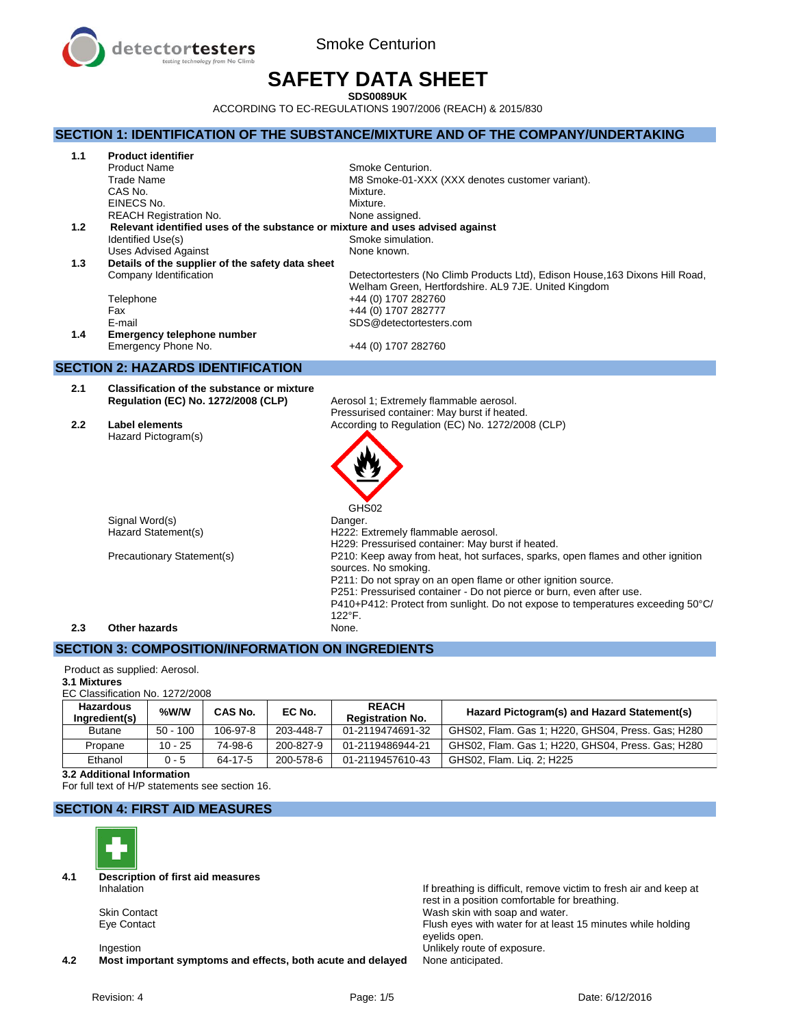

Smoke Centurion

# **SAFETY DATA SHEET**

**SDS0089UK**

ACCORDING TO EC-REGULATIONS 1907/2006 (REACH) & 2015/830

# **SECTION 1: IDENTIFICATION OF THE SUBSTANCE/MIXTURE AND OF THE COMPANY/UNDERTAKING**

| 1.1 | <b>Product identifier</b>                                                     |                                                                              |
|-----|-------------------------------------------------------------------------------|------------------------------------------------------------------------------|
|     | <b>Product Name</b>                                                           | Smoke Centurion.                                                             |
|     | Trade Name                                                                    | M8 Smoke-01-XXX (XXX denotes customer variant).                              |
|     | CAS No.                                                                       | Mixture.                                                                     |
|     | EINECS No.                                                                    | Mixture.                                                                     |
|     | <b>REACH Registration No.</b>                                                 | None assigned.                                                               |
| 1.2 | Relevant identified uses of the substance or mixture and uses advised against |                                                                              |
|     | Identified Use(s)                                                             | Smoke simulation.                                                            |
|     | <b>Uses Advised Against</b>                                                   | None known.                                                                  |
| 1.3 | Details of the supplier of the safety data sheet                              |                                                                              |
|     | Company Identification                                                        | Detectortesters (No Climb Products Ltd), Edison House, 163 Dixons Hill Road, |
|     |                                                                               | Welham Green, Hertfordshire. AL9 7JE. United Kingdom                         |
|     | Telephone                                                                     | +44 (0) 1707 282760                                                          |
|     | Fax                                                                           | +44 (0) 1707 282777                                                          |
|     | E-mail                                                                        | SDS@detectortesters.com                                                      |
| 1.4 | Emergency telephone number                                                    |                                                                              |
|     | Emergency Phone No.                                                           | +44 (0) 1707 282760                                                          |

### **SECTION 2: HAZARDS IDENTIFICATION**

- **2.1 Classification of the substance or mixture**
- Hazard Pictogram(s)

Aerosol 1; Extremely flammable aerosol. Pressurised container: May burst if heated. **2.2 Label elements According to Regulation (EC) No. 1272/2008 (CLP)** 



Signal Word(s)

GHS02<br>Danger. Hazard Statement(s) Maximum H222: Extremely flammable aerosol. H229: Pressurised container: May burst if heated. Precautionary Statement(s) P210: Keep away from heat, hot surfaces, sparks, open flames and other ignition sources. No smoking. P211: Do not spray on an open flame or other ignition source. P251: Pressurised container - Do not pierce or burn, even after use. P410+P412: Protect from sunlight. Do not expose to temperatures exceeding 50°C/ 122°F.

### **2.3 Other hazards** None.

### **SECTION 3: COMPOSITION/INFORMATION ON INGREDIENTS**

### Product as supplied: Aerosol.

**3.1 Mixtures**

EC Classification No. 1272/2008

| <b>Hazardous</b><br>Ingredient(s) | %W/W       | CAS No.  | EC No.    | <b>REACH</b><br><b>Registration No.</b> | Hazard Pictogram(s) and Hazard Statement(s)       |
|-----------------------------------|------------|----------|-----------|-----------------------------------------|---------------------------------------------------|
| <b>Butane</b>                     | $50 - 100$ | 106-97-8 | 203-448-7 | 01-2119474691-32                        | GHS02, Flam. Gas 1; H220, GHS04, Press. Gas; H280 |
| Propane                           | $10 - 25$  | 74-98-6  | 200-827-9 | 01-2119486944-21                        | GHS02, Flam. Gas 1; H220, GHS04, Press. Gas; H280 |
| Ethanol                           | $0 - 5$    | 64-17-5  | 200-578-6 | 01-2119457610-43                        | GHS02, Flam. Lig. 2; H225                         |

**3.2 Additional Information**

For full text of H/P statements see section 16.

# **SECTION 4: FIRST AID MEASURES**



**4.1 Description of first aid measures**

**4.2 Most important symptoms and effects, both acute and delayed** None anticipated.

If breathing is difficult, remove victim to fresh air and keep at rest in a position comfortable for breathing. Skin Contact **National State Skin Contact** Wash skin with soap and water. Eye Contact Flush eyes with water for at least 15 minutes while holding eyelids open. Ingestion **Intervellet and COVID-1** Individual Unlikely route of exposure.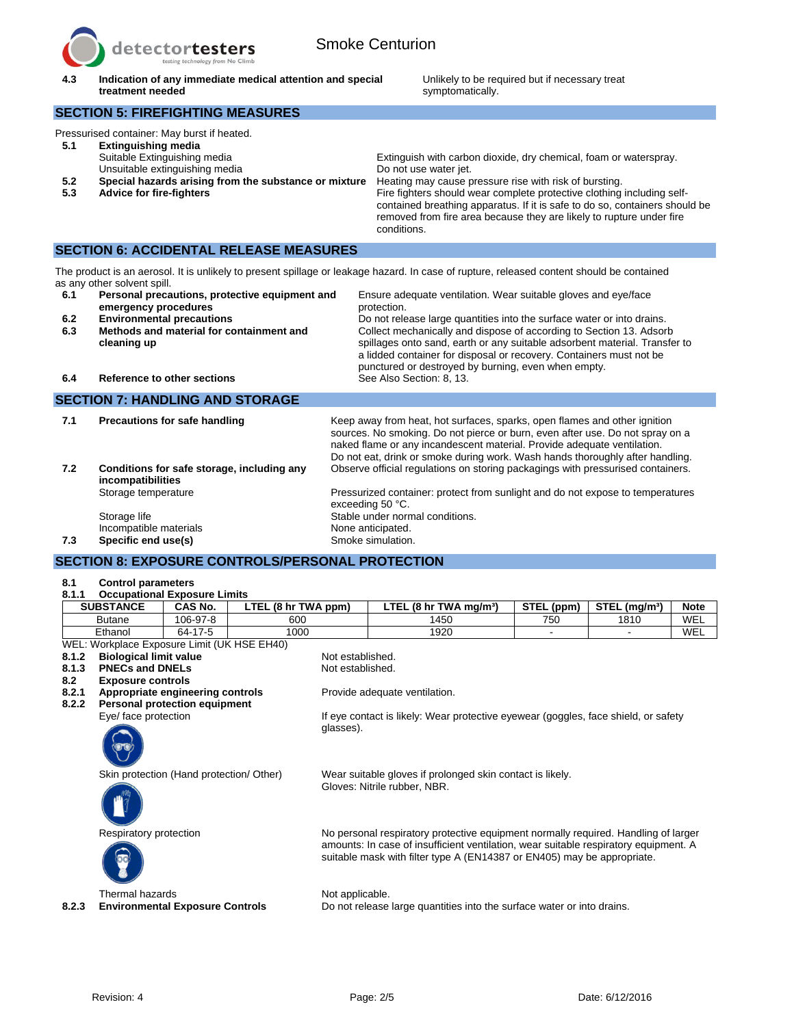

**4.3 Indication of any immediate medical attention and special treatment needed**

Unlikely to be required but if necessary treat symptomatically.

# **SECTION 5: FIREFIGHTING MEASURES**

Pressurised container: May burst if heated.

**5.1 Extinguishing media** Suitable Extinguishing media **Extinguish with carbon dioxide**, dry chemical, foam or waterspray. Unsuitable extinguishing media<br> **Special hazards arising from the substance or mixture** Heating may cause pressure rise with risk of bursting. **5.2 Special hazards arising from the substance or mixture 5.3 Advice for fire-fighters Figure 12 Fire fighters should wear complete protective clothing including self**contained breathing apparatus. If it is safe to do so, containers should be removed from fire area because they are likely to rupture under fire conditions.

### **SECTION 6: ACCIDENTAL RELEASE MEASURES**

The product is an aerosol. It is unlikely to present spillage or leakage hazard. In case of rupture, released content should be contained as any other solvent spill.

| 6.1 | Personal precautions, protective equipment and | Ensure adequate ventilation. Wear suitable gloves and eye/face             |
|-----|------------------------------------------------|----------------------------------------------------------------------------|
|     | emergency procedures                           | protection.                                                                |
| 6.2 | <b>Environmental precautions</b>               | Do not release large quantities into the surface water or into drains.     |
| 6.3 | Methods and material for containment and       | Collect mechanically and dispose of according to Section 13. Adsorb        |
|     | cleaning up                                    | spillages onto sand, earth or any suitable adsorbent material. Transfer to |
|     |                                                | a lidded container for disposal or recovery. Containers must not be        |
|     |                                                | punctured or destroyed by burning, even when empty.                        |
| 6.4 | Reference to other sections                    | See Also Section: 8, 13.                                                   |

# **SECTION 7: HANDLING AND STORAGE**

| 7.1 | Precautions for safe handling                                   | Keep away from heat, hot surfaces, sparks, open flames and other ignition<br>sources. No smoking. Do not pierce or burn, even after use. Do not spray on a<br>naked flame or any incandescent material. Provide adequate ventilation.<br>Do not eat, drink or smoke during work. Wash hands thoroughly after handling. |
|-----|-----------------------------------------------------------------|------------------------------------------------------------------------------------------------------------------------------------------------------------------------------------------------------------------------------------------------------------------------------------------------------------------------|
| 7.2 | Conditions for safe storage, including any<br>incompatibilities | Observe official regulations on storing packagings with pressurised containers.                                                                                                                                                                                                                                        |
|     | Storage temperature                                             | Pressurized container: protect from sunlight and do not expose to temperatures<br>exceeding 50 °C.                                                                                                                                                                                                                     |
|     | Storage life                                                    | Stable under normal conditions.                                                                                                                                                                                                                                                                                        |
|     | Incompatible materials                                          | None anticipated.                                                                                                                                                                                                                                                                                                      |
| 7.3 | Specific end use(s)                                             | Smoke simulation.                                                                                                                                                                                                                                                                                                      |

# **SECTION 8: EXPOSURE CONTROLS/PERSONAL PROTECTION**

#### **8.1 Control parameters 8.1.1 Occupational Exposure Limits**

| 0.1.1<br>OCCUDATIONAL EXPOSULE LINNIS                                                                                                                                                                                         |          |                          |                                                  |            |                           |             |
|-------------------------------------------------------------------------------------------------------------------------------------------------------------------------------------------------------------------------------|----------|--------------------------|--------------------------------------------------|------------|---------------------------|-------------|
| <b>SUBSTANCE</b>                                                                                                                                                                                                              | CAS No.  | . (8 hr TWA ppm)<br>LTEL | LTEL $(8 \text{ hr} \text{ TWA} \text{ ma/m}^3)$ | STEL (ppm) | STEL (ma/m <sup>3</sup> ) | <b>Note</b> |
| <b>Butane</b>                                                                                                                                                                                                                 | 106-97-8 | 600                      | .450                                             | 750        | 1810                      | WEL         |
| Ethanol                                                                                                                                                                                                                       | 64-17-5  | 1000                     | 920                                              |            |                           | WEL         |
| $M/T$ and $M$ and $T$ and $T$ and $T$ are $T$ and $T$ and $T$ and $T$ and $T$ and $T$ and $T$ and $T$ and $T$ and $T$ and $T$ and $T$ and $T$ and $T$ and $T$ and $T$ and $T$ and $T$ and $T$ and $T$ and $T$ and $T$ and $T$ |          |                          |                                                  |            |                           |             |

Gloves: Nitrile rubber, NBR.

- WEL: Workplace Exposure Limit (UK HSE EH40)
- **8.1.2 Biological limit value** Not established.
- 8.1.3 **PNECs and DNELs** Not established.
- **8.2 Exposure controls**
- **Appropriate engineering controls** Provide adequate ventilation.
- **8.2.2 Personal protection equipment** Eye/ face protection The If eye contact is likely: Wear protective eyewear (goggles, face shield, or safety



glasses).

Skin protection (Hand protection/ Other) Wear suitable gloves if prolonged skin contact is likely.



Respiratory protection **No personal respiratory protective equipment normally required. Handling of larger** 



Thermal hazards Not applicable.

**8.2.3 Environmental Exposure Controls** Do not release large quantities into the surface water or into drains.

amounts: In case of insufficient ventilation, wear suitable respiratory equipment. A suitable mask with filter type A (EN14387 or EN405) may be appropriate.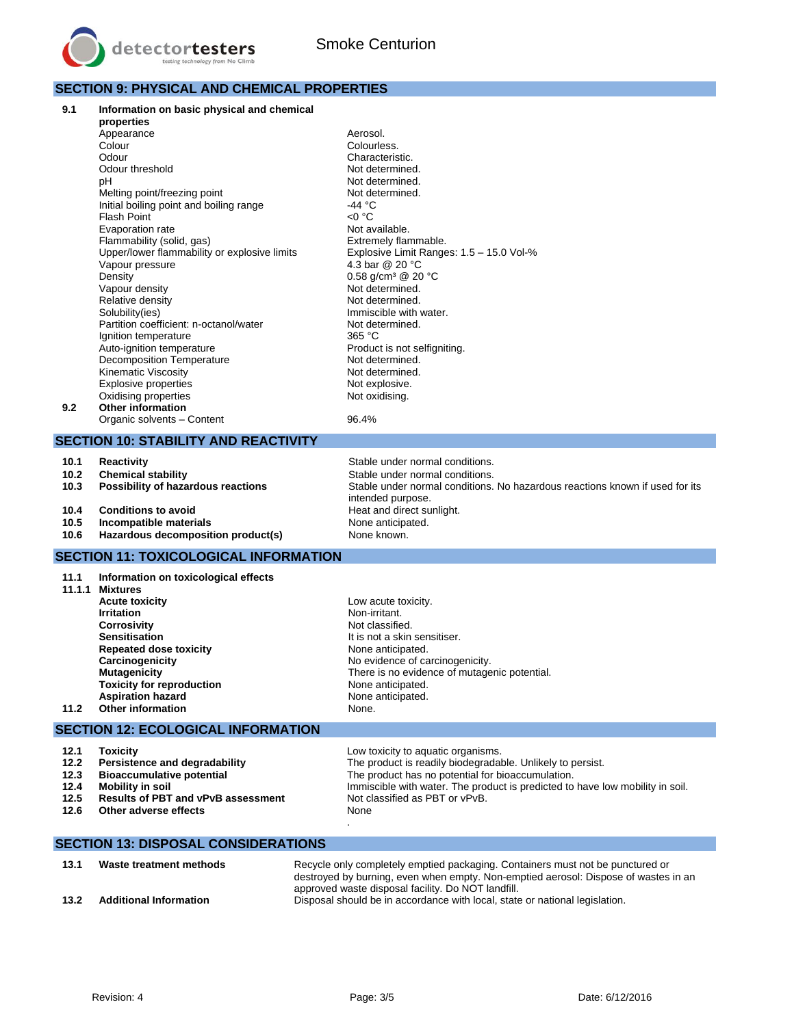

# **SECTION 9: PHYSICAL AND CHEMICAL PROPERTIES**

| 9.1 | Information on basic physical and chemical   |                                          |
|-----|----------------------------------------------|------------------------------------------|
|     | properties                                   |                                          |
|     | Appearance                                   | Aerosol.                                 |
|     | Colour                                       | Colourless.                              |
|     | Odour                                        | Characteristic.                          |
|     | Odour threshold                              | Not determined.                          |
|     | рH                                           | Not determined.                          |
|     | Melting point/freezing point                 | Not determined.                          |
|     | Initial boiling point and boiling range      | -44 °C                                   |
|     | Flash Point                                  | <0 °C                                    |
|     | Evaporation rate                             | Not available.                           |
|     | Flammability (solid, gas)                    | Extremely flammable.                     |
|     | Upper/lower flammability or explosive limits | Explosive Limit Ranges: 1.5 - 15.0 Vol-% |
|     | Vapour pressure                              | 4.3 bar @ 20 °C                          |
|     | Density                                      | 0.58 g/cm <sup>3</sup> @ 20 °C           |
|     | Vapour density                               | Not determined.                          |
|     | Relative density                             | Not determined.                          |
|     | Solubility(ies)                              | Immiscible with water.                   |
|     | Partition coefficient: n-octanol/water       | Not determined.                          |
|     | Ignition temperature                         | 365 °C                                   |
|     | Auto-ignition temperature                    | Product is not selfigniting.             |
|     | <b>Decomposition Temperature</b>             | Not determined.                          |
|     | Kinematic Viscosity                          | Not determined.                          |
|     | <b>Explosive properties</b>                  | Not explosive.                           |
|     | Oxidising properties                         | Not oxidising.                           |
| 9.2 | <b>Other information</b>                     |                                          |
|     | Organic solvents - Content                   | 96.4%                                    |

# **SECTION 10: STABILITY AND REACTIVITY**

**10.1 Reactivity Reactivity Reactivity Reactivity Reactivity Reactivity Reactivity Reactivity Reactivity Reactivity Reactivity Reactivity Reactivity Reactivity Reactivity Reactivity Reactivi** 

- 
- **10.2 Chemical stability Stable under normal conditions.**<br>**10.3 Possibility of hazardous reactions** Stable under normal conditions.
- **10.4 Conditions to avoid Heat and direct sunlight.**
- **10.5 Incompatible materials 10.5 Incompatible materials**
- **10.6 Hazardous decomposition product(s)** None known.

# **SECTION 11: TOXICOLOGICAL INFORMATION**

- **11.1 Information on toxicological effects**
- **11.1.1 Mixtures Acute toxicity**<br> **Acute toxicity**<br> **Acute toxicity**<br> **Acute toxicity**<br> **Acute toxicity**<br> **Acute toxicity Corrosivity Corrosivity Not classified.**<br> **Sensitisation Repeated dose toxicity <br>Carcinogenicity <b>Carcinogenicity No** evidence of ca **Toxicity for reproduction Aspiration hazard None anticipated.**<br> **Other information 11.2** Other information

**Non-irritant.** It is not a skin sensitiser. **Carcinogenicity** No evidence of carcinogenicity. **Mutagenicity**<br> **There is no evidence of mutagenic potential.**<br> **Toxicity for reproduction**<br> **None anticipated.** 

**10.3 Possibility of hazardous reactions** Stable under normal conditions. No hazardous reactions known if used for its

# **SECTION 12: ECOLOGICAL INFORMATION**

| Toxicitv                                          | Low toxicity to aquatic organisms.                                            |
|---------------------------------------------------|-------------------------------------------------------------------------------|
| Persistence and degradability                     | The product is readily biodegradable. Unlikely to persist.                    |
| 12.3 Bioaccumulative potential                    | The product has no potential for bioaccumulation.                             |
| Mobility in soil                                  | Immiscible with water. The product is predicted to have low mobility in soil. |
| <b>Results of PBT and vPvB assessment</b><br>12.5 | Not classified as PBT or vPvB.                                                |
| Other adverse effects                             | None                                                                          |
|                                                   |                                                                               |
|                                                   |                                                                               |

intended purpose.

# **SECTION 13: DISPOSAL CONSIDERATIONS**

| 13.1 | Waste treatment methods       | Recycle only completely emptied packaging. Containers must not be punctured or      |
|------|-------------------------------|-------------------------------------------------------------------------------------|
|      |                               | destroyed by burning, even when empty. Non-emptied aerosol: Dispose of wastes in an |
|      |                               | approved waste disposal facility. Do NOT landfill.                                  |
| 13.2 | <b>Additional Information</b> | Disposal should be in accordance with local, state or national legislation.         |
|      |                               |                                                                                     |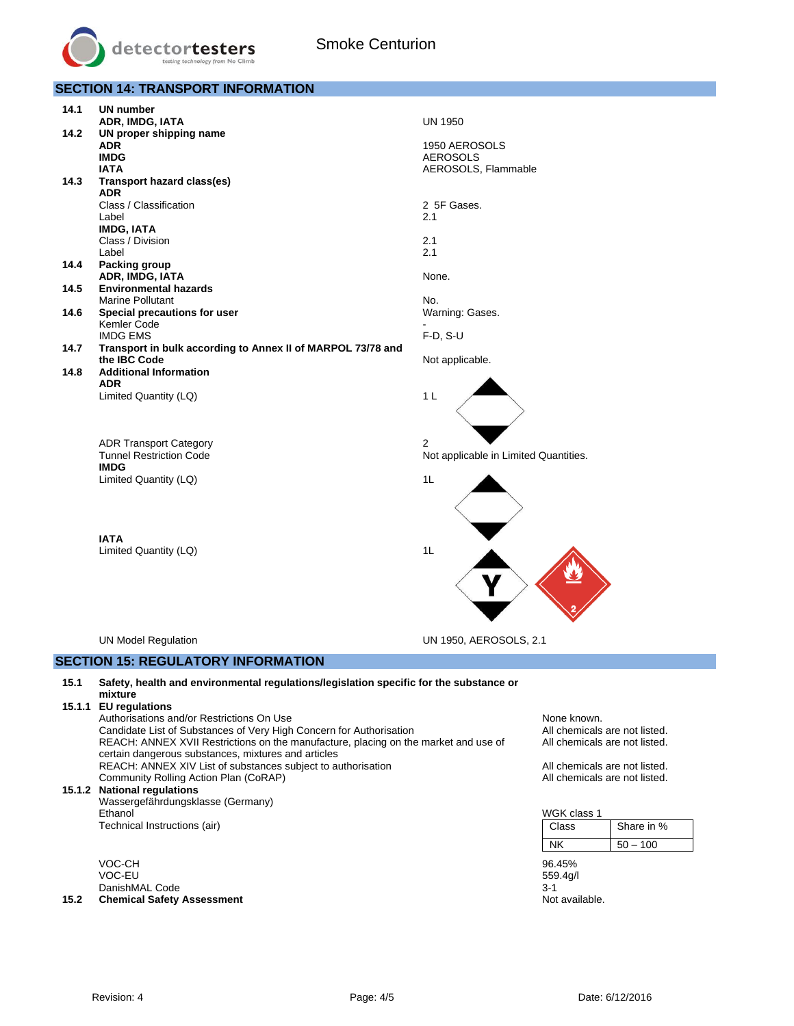

**SECTION 14: TRANSPORT INFORMATION 14.1 UN number ADR, IMDG, IATA** UN 1950 **14.2 UN proper shipping name ADR IMDG IATA** 1950 AEROSOLS AEROSOLS AEROSOLS, Flammable **14.3 Transport hazard class(es) ADR** Class / Classification 2 5F Gases. Label 2.1 **IMDG, IATA** Class / Division 2.1 Label 2.1 **14.4 Packing group ADR, IMDG, IATA** None. **14.5 Environmental hazards** Marine Pollutant<br> **Special precautions for user** No. No. No. No. No. No. Narning: Gases. **14.6 Special precautions for user** Kemler Code IMDG EMS F-D, S-U **14.7 Transport in bulk according to Annex II of MARPOL 73/78 and**  Not applicable. **14.8 Additional Information ADR** Limited Quantity (LQ) 3.1 Limited Quantity (LQ) ADR Transport Category 2<br>
Tunnel Restriction Code<br>
N Not applicable in Limited Quantities. **IMDG** Limited Quantity (LQ) 1L **IATA** Limited Quantity (LQ) 1L UN Model Regulation UN 1950, AEROSOLS, 2.1 **SECTION 15: REGULATORY INFORMATION 15.1 Safety, health and environmental regulations/legislation specific for the substance or mixture**

**15.1.1 EU regulations**

Authorisations and/or Restrictions On Use<br>Candidate List of Substances of Very High Concern for Authorisation **Number 1988** All chemicals are not listed. Candidate List of Substances of Very High Concern for Authorisation REACH: ANNEX XVII Restrictions on the manufacture, placing on the market and use of certain dangerous substances, mixtures and articles REACH: ANNEX XIV List of substances subject to authorisation **All chemicals are not listed.**<br>Community Rolling Action Plan (CoRAP) Corner and Digital and the community Rolling Action Plan (CoRAP) Community Rolling Action Plan (CoRAP) **15.1.2 National regulations**

Wassergefährdungsklasse (Germany) Ethanol WGK class 1 Technical Instructions (air)

VOC-CH 96.45% VOC-EU 559.4g/l DanishMAL Code 3-1<br> **Chemical Safety Assessment** Chemical Safety Assessment Chemical Safety Assessment **15.2** Chemical Safety Assessment

All chemicals are not listed.

| WGK class 1 |            |
|-------------|------------|
| Class       | Share in % |
|             | $-100$     |